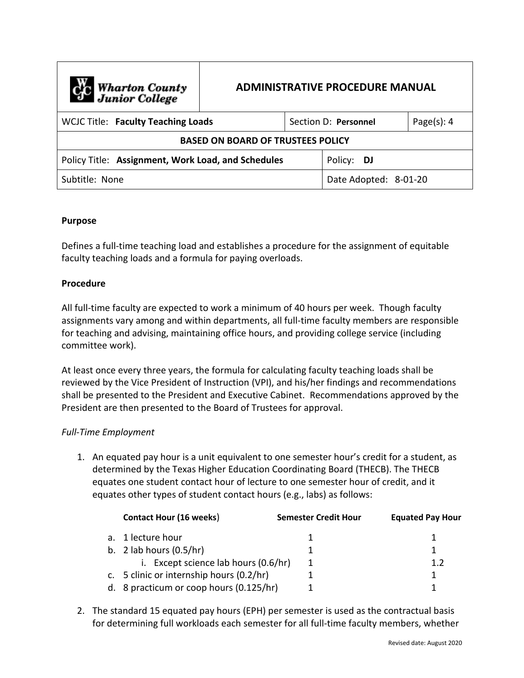| C <sub>o</sub> Wharton County<br>Junior College    | <b>ADMINISTRATIVE PROCEDURE MANUAL</b> |            |  |                       |  |  |  |
|----------------------------------------------------|----------------------------------------|------------|--|-----------------------|--|--|--|
| <b>WCJC Title: Faculty Teaching Loads</b>          | Section D: Personnel                   |            |  | Page $(s)$ : 4        |  |  |  |
| <b>BASED ON BOARD OF TRUSTEES POLICY</b>           |                                        |            |  |                       |  |  |  |
| Policy Title: Assignment, Work Load, and Schedules |                                        | Policy: DJ |  |                       |  |  |  |
| Subtitle: None                                     |                                        |            |  | Date Adopted: 8-01-20 |  |  |  |

### **Purpose**

Defines a full-time teaching load and establishes a procedure for the assignment of equitable faculty teaching loads and a formula for paying overloads.

### **Procedure**

All full-time faculty are expected to work a minimum of 40 hours per week. Though faculty assignments vary among and within departments, all full-time faculty members are responsible for teaching and advising, maintaining office hours, and providing college service (including committee work).

At least once every three years, the formula for calculating faculty teaching loads shall be reviewed by the Vice President of Instruction (VPI), and his/her findings and recommendations shall be presented to the President and Executive Cabinet. Recommendations approved by the President are then presented to the Board of Trustees for approval.

## *Full-Time Employment*

1. An equated pay hour is a unit equivalent to one semester hour's credit for a student, as determined by the Texas Higher Education Coordinating Board (THECB). The THECB equates one student contact hour of lecture to one semester hour of credit, and it equates other types of student contact hours (e.g., labs) as follows:

| <b>Contact Hour (16 weeks)</b>           | <b>Semester Credit Hour</b> | <b>Equated Pay Hour</b> |
|------------------------------------------|-----------------------------|-------------------------|
| a. 1 lecture hour                        |                             |                         |
| b. 2 lab hours $(0.5/hr)$                |                             |                         |
| i. Except science lab hours (0.6/hr)     |                             | 12                      |
| c. 5 clinic or internship hours (0.2/hr) |                             |                         |
| d. 8 practicum or coop hours (0.125/hr)  |                             |                         |

2. The standard 15 equated pay hours (EPH) per semester is used as the contractual basis for determining full workloads each semester for all full-time faculty members, whether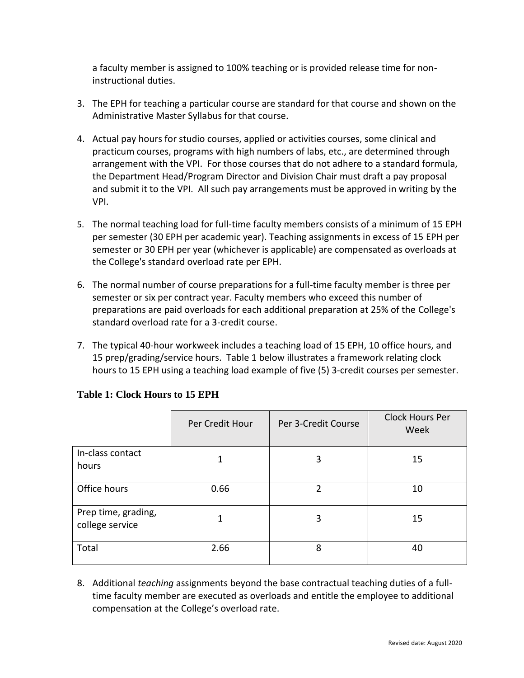a faculty member is assigned to 100% teaching or is provided release time for noninstructional duties.

- 3. The EPH for teaching a particular course are standard for that course and shown on the Administrative Master Syllabus for that course.
- 4. Actual pay hours for studio courses, applied or activities courses, some clinical and practicum courses, programs with high numbers of labs, etc., are determined through arrangement with the VPI. For those courses that do not adhere to a standard formula, the Department Head/Program Director and Division Chair must draft a pay proposal and submit it to the VPI. All such pay arrangements must be approved in writing by the VPI.
- 5. The normal teaching load for full-time faculty members consists of a minimum of 15 EPH per semester (30 EPH per academic year). Teaching assignments in excess of 15 EPH per semester or 30 EPH per year (whichever is applicable) are compensated as overloads at the College's standard overload rate per EPH.
- 6. The normal number of course preparations for a full-time faculty member is three per semester or six per contract year. Faculty members who exceed this number of preparations are paid overloads for each additional preparation at 25% of the College's standard overload rate for a 3-credit course.
- 7. The typical 40-hour workweek includes a teaching load of 15 EPH, 10 office hours, and 15 prep/grading/service hours. Table 1 below illustrates a framework relating clock hours to 15 EPH using a teaching load example of five (5) 3-credit courses per semester.

|                                        | Per Credit Hour | Per 3-Credit Course | <b>Clock Hours Per</b><br>Week |
|----------------------------------------|-----------------|---------------------|--------------------------------|
| In-class contact<br>hours              |                 | 3                   | 15                             |
| Office hours                           | 0.66            | 2                   | 10                             |
| Prep time, grading,<br>college service |                 | 3                   | 15                             |
| Total                                  | 2.66            | 8                   | 40                             |

# **Table 1: Clock Hours to 15 EPH**

8. Additional *teaching* assignments beyond the base contractual teaching duties of a fulltime faculty member are executed as overloads and entitle the employee to additional compensation at the College's overload rate.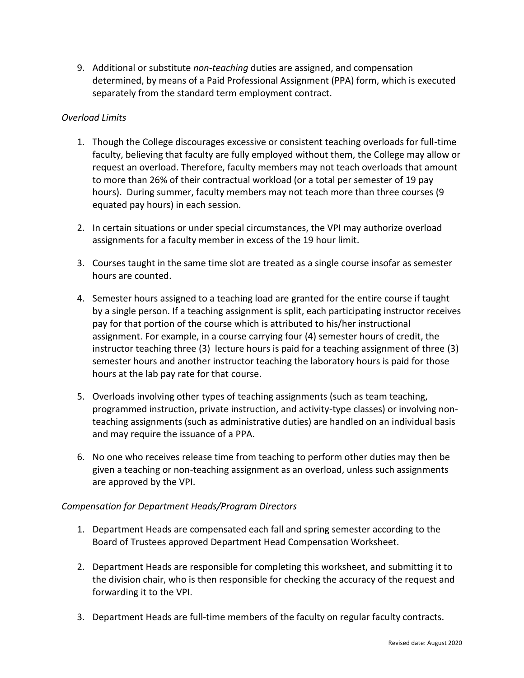9. Additional or substitute *non-teaching* duties are assigned, and compensation determined, by means of a Paid Professional Assignment (PPA) form, which is executed separately from the standard term employment contract.

## *Overload Limits*

- 1. Though the College discourages excessive or consistent teaching overloads for full-time faculty, believing that faculty are fully employed without them, the College may allow or request an overload. Therefore, faculty members may not teach overloads that amount to more than 26% of their contractual workload (or a total per semester of 19 pay hours). During summer, faculty members may not teach more than three courses (9 equated pay hours) in each session.
- 2. In certain situations or under special circumstances, the VPI may authorize overload assignments for a faculty member in excess of the 19 hour limit.
- 3. Courses taught in the same time slot are treated as a single course insofar as semester hours are counted.
- 4. Semester hours assigned to a teaching load are granted for the entire course if taught by a single person. If a teaching assignment is split, each participating instructor receives pay for that portion of the course which is attributed to his/her instructional assignment. For example, in a course carrying four (4) semester hours of credit, the instructor teaching three (3) lecture hours is paid for a teaching assignment of three (3) semester hours and another instructor teaching the laboratory hours is paid for those hours at the lab pay rate for that course.
- 5. Overloads involving other types of teaching assignments (such as team teaching, programmed instruction, private instruction, and activity-type classes) or involving nonteaching assignments (such as administrative duties) are handled on an individual basis and may require the issuance of a PPA.
- 6. No one who receives release time from teaching to perform other duties may then be given a teaching or non-teaching assignment as an overload, unless such assignments are approved by the VPI.

## *Compensation for Department Heads/Program Directors*

- 1. Department Heads are compensated each fall and spring semester according to the Board of Trustees approved Department Head Compensation Worksheet.
- 2. Department Heads are responsible for completing this worksheet, and submitting it to the division chair, who is then responsible for checking the accuracy of the request and forwarding it to the VPI.
- 3. Department Heads are full-time members of the faculty on regular faculty contracts.